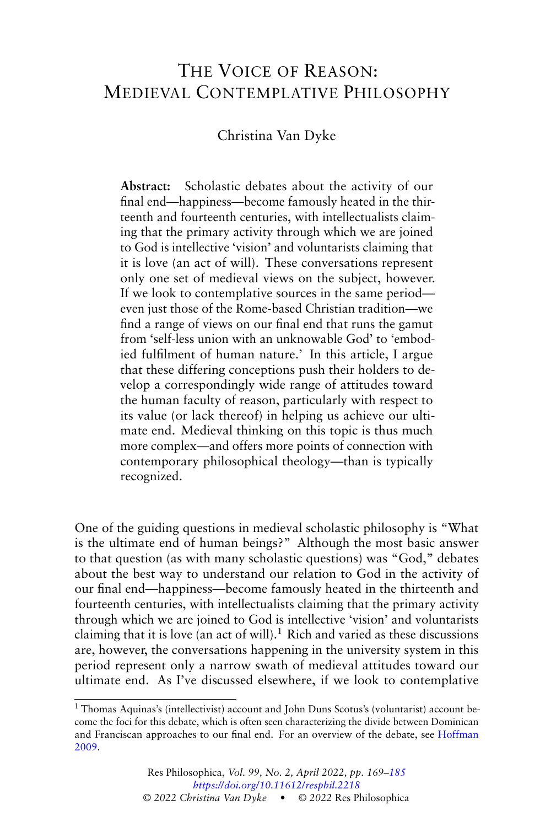# THE VOICE OF REASON: MEDIEVAL CONTEMPLATIVE PHILOSOPHY

Christina Van Dyke

**Abstract:** Scholastic debates about the activity of our final end—happiness—become famously heated in the thirteenth and fourteenth centuries, with intellectualists claiming that the primary activity through which we are joined to God is intellective 'vision' and voluntarists claiming that it is love (an act of will). These conversations represent only one set of medieval views on the subject, however. If we look to contemplative sources in the same period even just those of the Rome-based Christian tradition—we find a range of views on our final end that runs the gamut from 'self-less union with an unknowable God' to 'embodied fulfilment of human nature.' In this article, I argue that these differing conceptions push their holders to develop a correspondingly wide range of attitudes toward the human faculty of reason, particularly with respect to its value (or lack thereof) in helping us achieve our ultimate end. Medieval thinking on this topic is thus much more complex—and offers more points of connection with contemporary philosophical theology—than is typically recognized.

One of the guiding questions in medieval scholastic philosophy is "What is the ultimate end of human beings?" Although the most basic answer to that question (as with many scholastic questions) was "God," debates about the best way to understand our relation to God in the activity of our final end—happiness—become famously heated in the thirteenth and fourteenth centuries, with intellectualists claiming that the primary activity through which we are joined to God is intellective 'vision' and voluntarists claiming that it is love (an act of will).<sup>1</sup> Rich and varied as these discussions are, however, the conversations happening in the university system in this period represent only a narrow swath of medieval attitudes toward our ultimate end. As I've discussed elsewhere, if we look to contemplative

<sup>1</sup> Thomas Aquinas's (intellectivist) account and John Duns Scotus's (voluntarist) account become the foci for this debate, which is often seen characterizing the divide between Dominican and Franciscan approaches to our final end. For an overview of the debate, see [Hoffman](#page-15-0) [2009.](#page-15-0)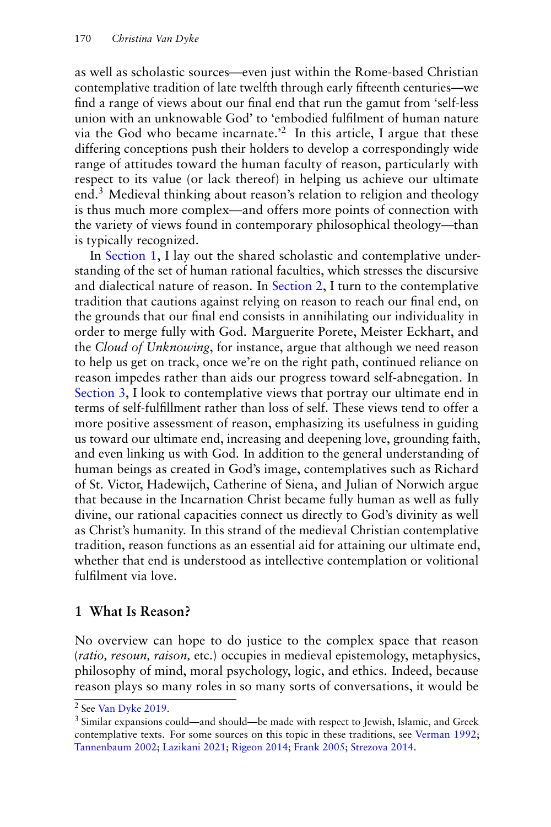as well as scholastic sources—even just within the Rome-based Christian contemplative tradition of late twelfth through early fifteenth centuries—we find a range of views about our final end that run the gamut from 'self-less union with an unknowable God' to 'embodied fulfilment of human nature via the God who became incarnate.<sup>2</sup> In this article, I argue that these differing conceptions push their holders to develop a correspondingly wide range of attitudes toward the human faculty of reason, particularly with respect to its value (or lack thereof) in helping us achieve our ultimate end.<sup>3</sup> Medieval thinking about reason's relation to religion and theology is thus much more complex—and offers more points of connection with the variety of views found in contemporary philosophical theology—than is typically recognized.

In Section 1, I lay out the shared scholastic and contemplative understanding of the set of human rational faculties, which stresses the discursive and dialectical nature of reason. In [Section 2,](#page-3-0) I turn to the contemplative tradition that cautions against relying on reason to reach our final end, on the grounds that our final end consists in annihilating our individuality in order to merge fully with God. Marguerite Porete, Meister Eckhart, and the *Cloud of Unknowing*, for instance, argue that although we need reason to help us get on track, once we're on the right path, continued reliance on reason impedes rather than aids our progress toward self-abnegation. In [Section 3,](#page-8-0) I look to contemplative views that portray our ultimate end in terms of self-fulfillment rather than loss of self. These views tend to offer a more positive assessment of reason, emphasizing its usefulness in guiding us toward our ultimate end, increasing and deepening love, grounding faith, and even linking us with God. In addition to the general understanding of human beings as created in God's image, contemplatives such as Richard of St. Victor, Hadewijch, Catherine of Siena, and Julian of Norwich argue that because in the Incarnation Christ became fully human as well as fully divine, our rational capacities connect us directly to God's divinity as well as Christ's humanity. In this strand of the medieval Christian contemplative tradition, reason functions as an essential aid for attaining our ultimate end, whether that end is understood as intellective contemplation or volitional fulfilment via love.

## **1 What Is Reason?**

No overview can hope to do justice to the complex space that reason (*ratio, resoun, raison,* etc.) occupies in medieval epistemology, metaphysics, philosophy of mind, moral psychology, logic, and ethics. Indeed, because reason plays so many roles in so many sorts of conversations, it would be

<sup>2</sup> See [Van Dyke](#page-16-0) [2019.](#page-16-0)

<sup>3</sup> Similar expansions could—and should—be made with respect to Jewish, Islamic, and Greek contemplative texts. For some sources on this topic in these traditions, see [Verman](#page-16-0) [1992;](#page-16-0) [Tannenbaum](#page-16-0) [2002;](#page-16-0) [Lazikani](#page-15-0) [2021;](#page-15-0) [Rigeon](#page-15-0) [2014;](#page-15-0) [Frank](#page-15-0) [2005;](#page-15-0) [Strezova](#page-16-0) [2014.](#page-16-0)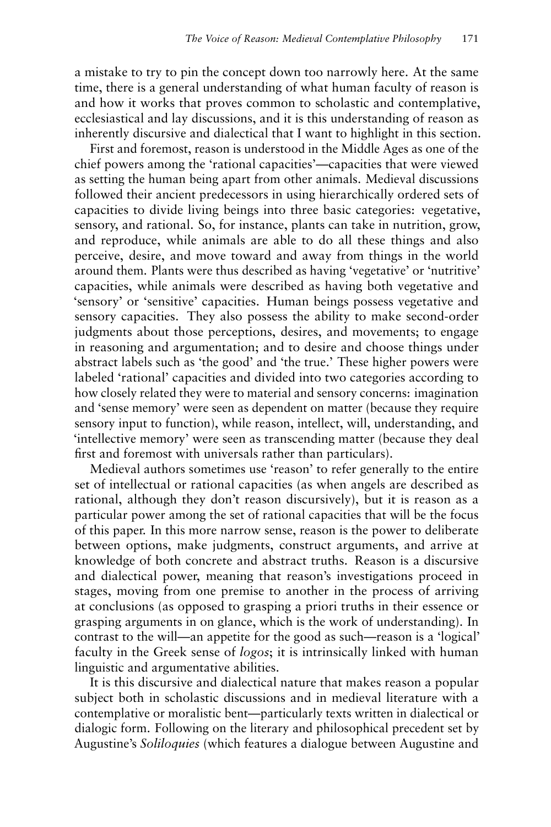a mistake to try to pin the concept down too narrowly here. At the same time, there is a general understanding of what human faculty of reason is and how it works that proves common to scholastic and contemplative, ecclesiastical and lay discussions, and it is this understanding of reason as inherently discursive and dialectical that I want to highlight in this section.

First and foremost, reason is understood in the Middle Ages as one of the chief powers among the 'rational capacities'—capacities that were viewed as setting the human being apart from other animals. Medieval discussions followed their ancient predecessors in using hierarchically ordered sets of capacities to divide living beings into three basic categories: vegetative, sensory, and rational. So, for instance, plants can take in nutrition, grow, and reproduce, while animals are able to do all these things and also perceive, desire, and move toward and away from things in the world around them. Plants were thus described as having 'vegetative' or 'nutritive' capacities, while animals were described as having both vegetative and 'sensory' or 'sensitive' capacities. Human beings possess vegetative and sensory capacities. They also possess the ability to make second-order judgments about those perceptions, desires, and movements; to engage in reasoning and argumentation; and to desire and choose things under abstract labels such as 'the good' and 'the true.' These higher powers were labeled 'rational' capacities and divided into two categories according to how closely related they were to material and sensory concerns: imagination and 'sense memory' were seen as dependent on matter (because they require sensory input to function), while reason, intellect, will, understanding, and 'intellective memory' were seen as transcending matter (because they deal first and foremost with universals rather than particulars).

Medieval authors sometimes use 'reason' to refer generally to the entire set of intellectual or rational capacities (as when angels are described as rational, although they don't reason discursively), but it is reason as a particular power among the set of rational capacities that will be the focus of this paper. In this more narrow sense, reason is the power to deliberate between options, make judgments, construct arguments, and arrive at knowledge of both concrete and abstract truths. Reason is a discursive and dialectical power, meaning that reason's investigations proceed in stages, moving from one premise to another in the process of arriving at conclusions (as opposed to grasping a priori truths in their essence or grasping arguments in on glance, which is the work of understanding). In contrast to the will—an appetite for the good as such—reason is a 'logical' faculty in the Greek sense of *logos*; it is intrinsically linked with human linguistic and argumentative abilities.

It is this discursive and dialectical nature that makes reason a popular subject both in scholastic discussions and in medieval literature with a contemplative or moralistic bent—particularly texts written in dialectical or dialogic form. Following on the literary and philosophical precedent set by Augustine's *Soliloquies* (which features a dialogue between Augustine and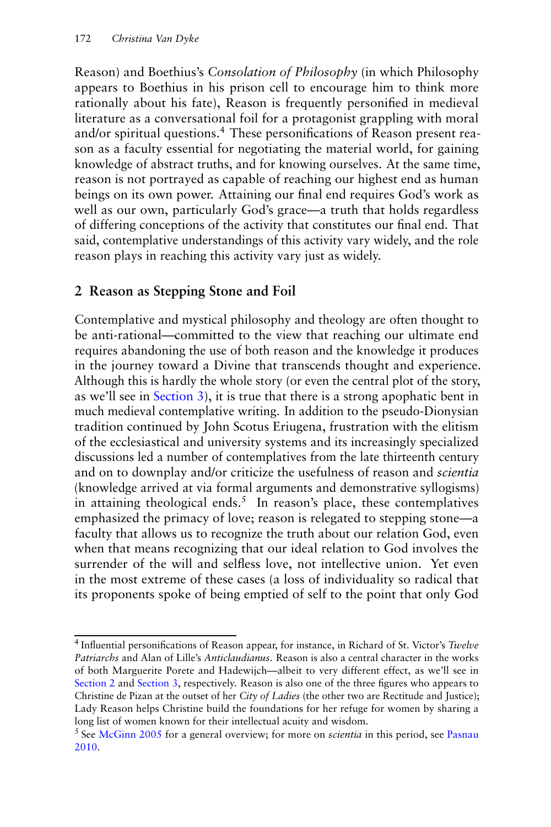<span id="page-3-0"></span>Reason) and Boethius's *Consolation of Philosophy* (in which Philosophy appears to Boethius in his prison cell to encourage him to think more rationally about his fate), Reason is frequently personified in medieval literature as a conversational foil for a protagonist grappling with moral and/or spiritual questions.<sup>4</sup> These personifications of Reason present reason as a faculty essential for negotiating the material world, for gaining knowledge of abstract truths, and for knowing ourselves. At the same time, reason is not portrayed as capable of reaching our highest end as human beings on its own power. Attaining our final end requires God's work as well as our own, particularly God's grace—a truth that holds regardless of differing conceptions of the activity that constitutes our final end. That said, contemplative understandings of this activity vary widely, and the role reason plays in reaching this activity vary just as widely.

# **2 Reason as Stepping Stone and Foil**

Contemplative and mystical philosophy and theology are often thought to be anti-rational—committed to the view that reaching our ultimate end requires abandoning the use of both reason and the knowledge it produces in the journey toward a Divine that transcends thought and experience. Although this is hardly the whole story (or even the central plot of the story, as we'll see in [Section 3\)](#page-8-0), it is true that there is a strong apophatic bent in much medieval contemplative writing. In addition to the pseudo-Dionysian tradition continued by John Scotus Eriugena, frustration with the elitism of the ecclesiastical and university systems and its increasingly specialized discussions led a number of contemplatives from the late thirteenth century and on to downplay and/or criticize the usefulness of reason and *scientia* (knowledge arrived at via formal arguments and demonstrative syllogisms) in attaining theological ends.<sup>5</sup> In reason's place, these contemplatives emphasized the primacy of love; reason is relegated to stepping stone—a faculty that allows us to recognize the truth about our relation God, even when that means recognizing that our ideal relation to God involves the surrender of the will and selfless love, not intellective union. Yet even in the most extreme of these cases (a loss of individuality so radical that its proponents spoke of being emptied of self to the point that only God

<sup>4</sup> Influential personifications of Reason appear, for instance, in Richard of St. Victor's *Twelve Patriarchs* and Alan of Lille's *Anticlaudianus*. Reason is also a central character in the works of both Marguerite Porete and Hadewijch—albeit to very different effect, as we'll see in Section 2 and [Section 3,](#page-8-0) respectively. Reason is also one of the three figures who appears to Christine de Pizan at the outset of her *City of Ladies* (the other two are Rectitude and Justice); Lady Reason helps Christine build the foundations for her refuge for women by sharing a long list of women known for their intellectual acuity and wisdom.

<sup>5</sup> See [McGinn](#page-15-0) [2005](#page-15-0) for a general overview; for more on *scientia* in this period, see [Pasnau](#page-15-0) [2010.](#page-15-0)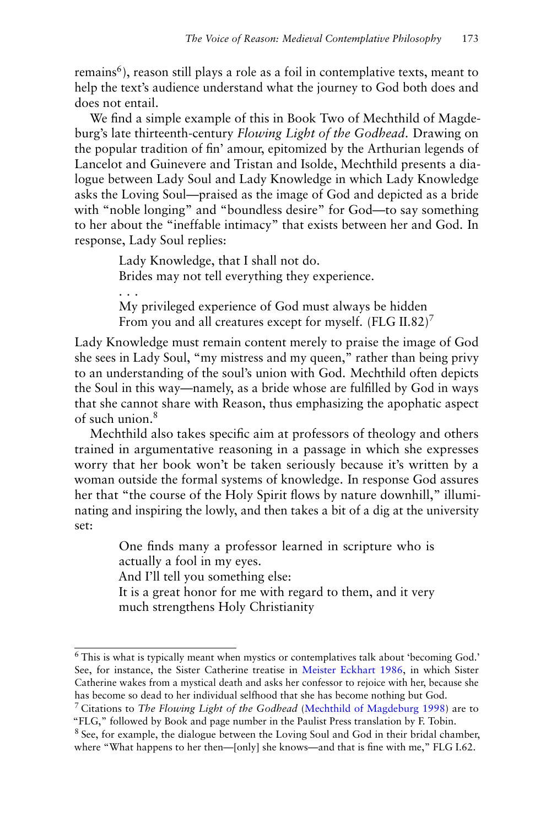remains<sup>6</sup>), reason still plays a role as a foil in contemplative texts, meant to help the text's audience understand what the journey to God both does and does not entail.

We find a simple example of this in Book Two of Mechthild of Magdeburg's late thirteenth-century *Flowing Light of the Godhead*. Drawing on the popular tradition of fin' amour, epitomized by the Arthurian legends of Lancelot and Guinevere and Tristan and Isolde, Mechthild presents a dialogue between Lady Soul and Lady Knowledge in which Lady Knowledge asks the Loving Soul—praised as the image of God and depicted as a bride with "noble longing" and "boundless desire" for God—to say something to her about the "ineffable intimacy" that exists between her and God. In response, Lady Soul replies:

> Lady Knowledge, that I shall not do. Brides may not tell everything they experience.

. . . My privileged experience of God must always be hidden From you and all creatures except for myself. (FLG II.82)<sup>7</sup>

Lady Knowledge must remain content merely to praise the image of God she sees in Lady Soul, "my mistress and my queen," rather than being privy to an understanding of the soul's union with God. Mechthild often depicts the Soul in this way—namely, as a bride whose are fulfilled by God in ways that she cannot share with Reason, thus emphasizing the apophatic aspect of such union.<sup>8</sup>

Mechthild also takes specific aim at professors of theology and others trained in argumentative reasoning in a passage in which she expresses worry that her book won't be taken seriously because it's written by a woman outside the formal systems of knowledge. In response God assures her that "the course of the Holy Spirit flows by nature downhill," illuminating and inspiring the lowly, and then takes a bit of a dig at the university set:

> One finds many a professor learned in scripture who is actually a fool in my eyes.

And I'll tell you something else:

It is a great honor for me with regard to them, and it very much strengthens Holy Christianity

<sup>6</sup> This is what is typically meant when mystics or contemplatives talk about 'becoming God.' See, for instance, the Sister Catherine treatise in [Meister Eckhart](#page-15-0) [1986,](#page-15-0) in which Sister Catherine wakes from a mystical death and asks her confessor to rejoice with her, because she has become so dead to her individual selfhood that she has become nothing but God.

<sup>7</sup> Citations to *The Flowing Light of the Godhead* [\(Mechthild of Magdeburg](#page-15-0) [1998\)](#page-15-0) are to "FLG," followed by Book and page number in the Paulist Press translation by F. Tobin.

<sup>&</sup>lt;sup>8</sup> See, for example, the dialogue between the Loving Soul and God in their bridal chamber, where "What happens to her then—[only] she knows—and that is fine with me," FLG I.62.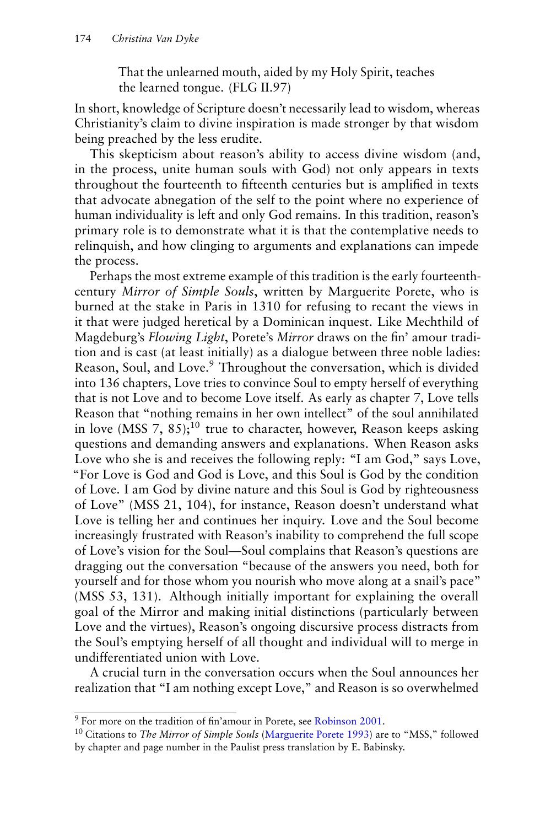That the unlearned mouth, aided by my Holy Spirit, teaches the learned tongue. (FLG II.97)

In short, knowledge of Scripture doesn't necessarily lead to wisdom, whereas Christianity's claim to divine inspiration is made stronger by that wisdom being preached by the less erudite.

This skepticism about reason's ability to access divine wisdom (and, in the process, unite human souls with God) not only appears in texts throughout the fourteenth to fifteenth centuries but is amplified in texts that advocate abnegation of the self to the point where no experience of human individuality is left and only God remains. In this tradition, reason's primary role is to demonstrate what it is that the contemplative needs to relinquish, and how clinging to arguments and explanations can impede the process.

Perhaps the most extreme example of this tradition is the early fourteenthcentury *Mirror of Simple Souls*, written by Marguerite Porete, who is burned at the stake in Paris in 1310 for refusing to recant the views in it that were judged heretical by a Dominican inquest. Like Mechthild of Magdeburg's *Flowing Light*, Porete's *Mirror* draws on the fin' amour tradition and is cast (at least initially) as a dialogue between three noble ladies: Reason, Soul, and Love.<sup>9</sup> Throughout the conversation, which is divided into 136 chapters, Love tries to convince Soul to empty herself of everything that is not Love and to become Love itself. As early as chapter 7, Love tells Reason that "nothing remains in her own intellect" of the soul annihilated in love (MSS 7, 85);<sup>10</sup> true to character, however, Reason keeps asking questions and demanding answers and explanations. When Reason asks Love who she is and receives the following reply: "I am God," says Love, "For Love is God and God is Love, and this Soul is God by the condition of Love. I am God by divine nature and this Soul is God by righteousness of Love" (MSS 21, 104), for instance, Reason doesn't understand what Love is telling her and continues her inquiry. Love and the Soul become increasingly frustrated with Reason's inability to comprehend the full scope of Love's vision for the Soul—Soul complains that Reason's questions are dragging out the conversation "because of the answers you need, both for yourself and for those whom you nourish who move along at a snail's pace" (MSS 53, 131). Although initially important for explaining the overall goal of the Mirror and making initial distinctions (particularly between Love and the virtues), Reason's ongoing discursive process distracts from the Soul's emptying herself of all thought and individual will to merge in undifferentiated union with Love.

A crucial turn in the conversation occurs when the Soul announces her realization that "I am nothing except Love," and Reason is so overwhelmed

<sup>9</sup> For more on the tradition of fin'amour in Porete, see [Robinson](#page-16-0) [2001.](#page-16-0)

<sup>10</sup> Citations to *The Mirror of Simple Souls* [\(Marguerite Porete](#page-15-0) [1993\)](#page-15-0) are to "MSS," followed by chapter and page number in the Paulist press translation by E. Babinsky.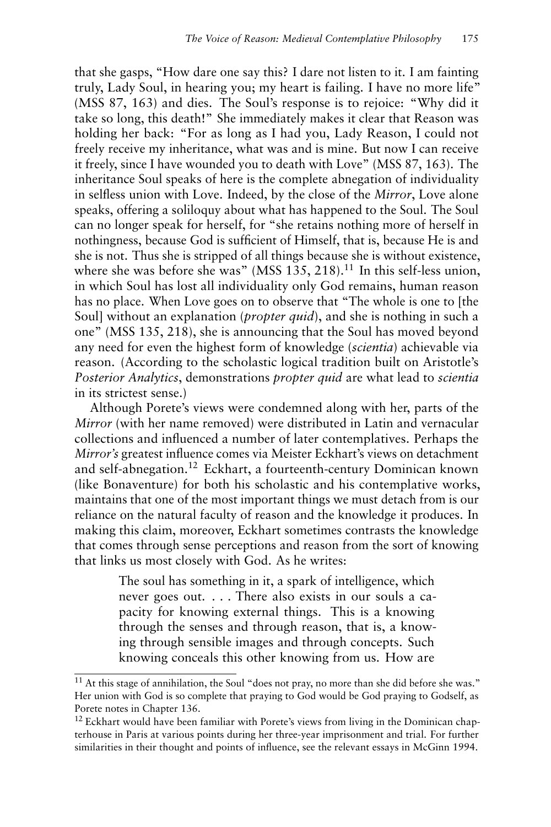that she gasps, "How dare one say this? I dare not listen to it. I am fainting truly, Lady Soul, in hearing you; my heart is failing. I have no more life" (MSS 87, 163) and dies. The Soul's response is to rejoice: "Why did it take so long, this death!" She immediately makes it clear that Reason was holding her back: "For as long as I had you, Lady Reason, I could not freely receive my inheritance, what was and is mine. But now I can receive it freely, since I have wounded you to death with Love" (MSS 87, 163). The inheritance Soul speaks of here is the complete abnegation of individuality in selfless union with Love. Indeed, by the close of the *Mirror*, Love alone speaks, offering a soliloquy about what has happened to the Soul. The Soul can no longer speak for herself, for "she retains nothing more of herself in nothingness, because God is sufficient of Himself, that is, because He is and she is not. Thus she is stripped of all things because she is without existence, where she was before she was" (MSS  $135$ ,  $218$ ).<sup>11</sup> In this self-less union, in which Soul has lost all individuality only God remains, human reason has no place. When Love goes on to observe that "The whole is one to [the Soul] without an explanation (*propter quid*), and she is nothing in such a one" (MSS 135, 218), she is announcing that the Soul has moved beyond any need for even the highest form of knowledge (*scientia*) achievable via reason. (According to the scholastic logical tradition built on Aristotle's *Posterior Analytics*, demonstrations *propter quid* are what lead to *scientia* in its strictest sense.)

Although Porete's views were condemned along with her, parts of the *Mirror* (with her name removed) were distributed in Latin and vernacular collections and influenced a number of later contemplatives. Perhaps the *Mirror's* greatest influence comes via Meister Eckhart's views on detachment and self-abnegation.<sup>12</sup> Eckhart, a fourteenth-century Dominican known (like Bonaventure) for both his scholastic and his contemplative works, maintains that one of the most important things we must detach from is our reliance on the natural faculty of reason and the knowledge it produces. In making this claim, moreover, Eckhart sometimes contrasts the knowledge that comes through sense perceptions and reason from the sort of knowing that links us most closely with God. As he writes:

> The soul has something in it, a spark of intelligence, which never goes out. . . . There also exists in our souls a capacity for knowing external things. This is a knowing through the senses and through reason, that is, a knowing through sensible images and through concepts. Such knowing conceals this other knowing from us. How are

<sup>&</sup>lt;sup>11</sup> At this stage of annihilation, the Soul "does not pray, no more than she did before she was." Her union with God is so complete that praying to God would be God praying to Godself, as Porete notes in Chapter 136.

 $12$  Eckhart would have been familiar with Porete's views from living in the Dominican chapterhouse in Paris at various points during her three-year imprisonment and trial. For further similarities in their thought and points of influence, see the relevant essays in McGinn 1994.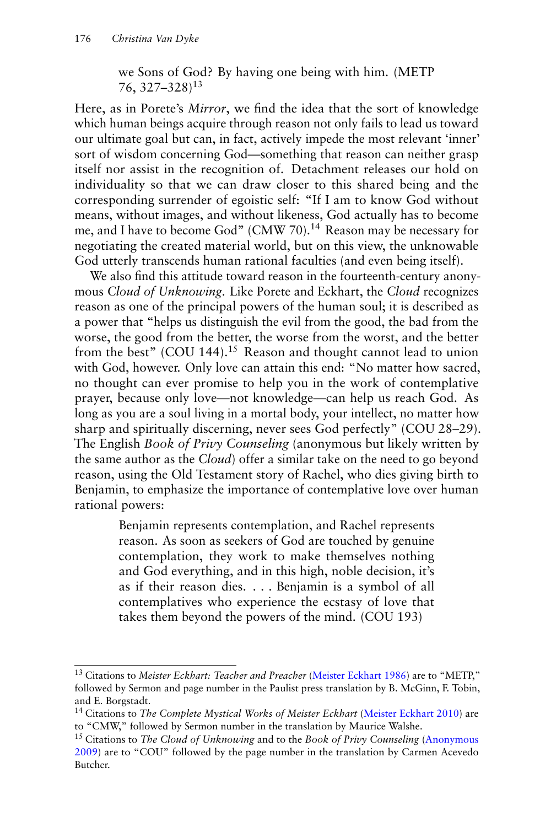we Sons of God? By having one being with him. (METP 76,  $327 - 328$ <sup>13</sup>

Here, as in Porete's *Mirror*, we find the idea that the sort of knowledge which human beings acquire through reason not only fails to lead us toward our ultimate goal but can, in fact, actively impede the most relevant 'inner' sort of wisdom concerning God—something that reason can neither grasp itself nor assist in the recognition of. Detachment releases our hold on individuality so that we can draw closer to this shared being and the corresponding surrender of egoistic self: "If I am to know God without means, without images, and without likeness, God actually has to become me, and I have to become God" (CMW 70).<sup>14</sup> Reason may be necessary for negotiating the created material world, but on this view, the unknowable God utterly transcends human rational faculties (and even being itself).

We also find this attitude toward reason in the fourteenth-century anonymous *Cloud of Unknowing*. Like Porete and Eckhart, the *Cloud* recognizes reason as one of the principal powers of the human soul; it is described as a power that "helps us distinguish the evil from the good, the bad from the worse, the good from the better, the worse from the worst, and the better from the best" (COU 144).<sup>15</sup> Reason and thought cannot lead to union with God, however. Only love can attain this end: "No matter how sacred, no thought can ever promise to help you in the work of contemplative prayer, because only love—not knowledge—can help us reach God. As long as you are a soul living in a mortal body, your intellect, no matter how sharp and spiritually discerning, never sees God perfectly" (COU 28–29). The English *Book of Privy Counseling* (anonymous but likely written by the same author as the *Cloud*) offer a similar take on the need to go beyond reason, using the Old Testament story of Rachel, who dies giving birth to Benjamin, to emphasize the importance of contemplative love over human rational powers:

> Benjamin represents contemplation, and Rachel represents reason. As soon as seekers of God are touched by genuine contemplation, they work to make themselves nothing and God everything, and in this high, noble decision, it's as if their reason dies. . . . Benjamin is a symbol of all contemplatives who experience the ecstasy of love that takes them beyond the powers of the mind. (COU 193)

<sup>13</sup> Citations to *Meister Eckhart: Teacher and Preacher* [\(Meister Eckhart](#page-15-0) [1986\)](#page-15-0) are to "METP," followed by Sermon and page number in the Paulist press translation by B. McGinn, F. Tobin, and E. Borgstadt.

<sup>14</sup> Citations to *The Complete Mystical Works of Meister Eckhart* [\(Meister Eckhart](#page-15-0) [2010\)](#page-15-0) are to "CMW," followed by Sermon number in the translation by Maurice Walshe.

<sup>15</sup> Citations to *The Cloud of Unknowing* and to the *Book of Privy Counseling* [\(Anonymous](#page-15-0) [2009\)](#page-15-0) are to "COU" followed by the page number in the translation by Carmen Acevedo Butcher.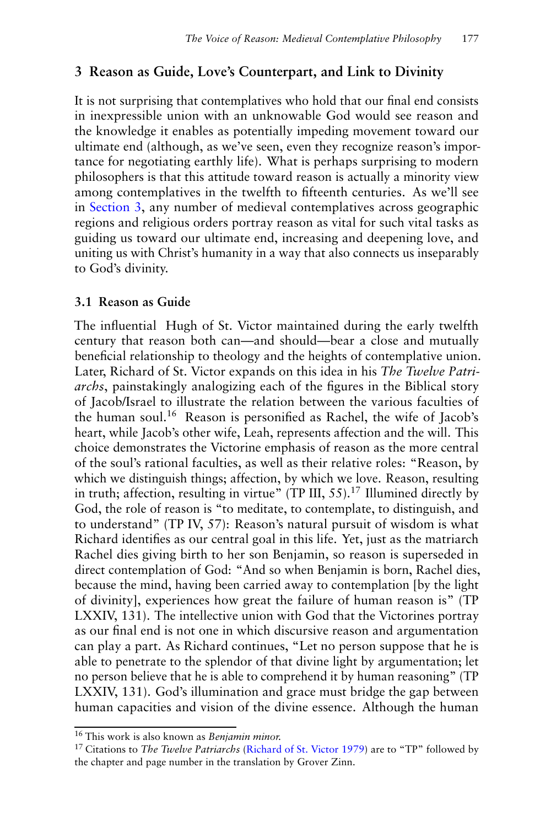# <span id="page-8-0"></span>**3 Reason as Guide, Love's Counterpart, and Link to Divinity**

It is not surprising that contemplatives who hold that our final end consists in inexpressible union with an unknowable God would see reason and the knowledge it enables as potentially impeding movement toward our ultimate end (although, as we've seen, even they recognize reason's importance for negotiating earthly life). What is perhaps surprising to modern philosophers is that this attitude toward reason is actually a minority view among contemplatives in the twelfth to fifteenth centuries. As we'll see in Section 3, any number of medieval contemplatives across geographic regions and religious orders portray reason as vital for such vital tasks as guiding us toward our ultimate end, increasing and deepening love, and uniting us with Christ's humanity in a way that also connects us inseparably to God's divinity.

### **3.1 Reason as Guide**

The influential Hugh of St. Victor maintained during the early twelfth century that reason both can—and should—bear a close and mutually beneficial relationship to theology and the heights of contemplative union. Later, Richard of St. Victor expands on this idea in his *The Twelve Patriarchs*, painstakingly analogizing each of the figures in the Biblical story of Jacob/Israel to illustrate the relation between the various faculties of the human soul.<sup>16</sup> Reason is personified as Rachel, the wife of Jacob's heart, while Jacob's other wife, Leah, represents affection and the will. This choice demonstrates the Victorine emphasis of reason as the more central of the soul's rational faculties, as well as their relative roles: "Reason, by which we distinguish things; affection, by which we love. Reason, resulting in truth; affection, resulting in virtue" (TP III,  $55$ ).<sup>17</sup> Illumined directly by God, the role of reason is "to meditate, to contemplate, to distinguish, and to understand" (TP IV, 57): Reason's natural pursuit of wisdom is what Richard identifies as our central goal in this life. Yet, just as the matriarch Rachel dies giving birth to her son Benjamin, so reason is superseded in direct contemplation of God: "And so when Benjamin is born, Rachel dies, because the mind, having been carried away to contemplation [by the light of divinity], experiences how great the failure of human reason is" (TP LXXIV, 131). The intellective union with God that the Victorines portray as our final end is not one in which discursive reason and argumentation can play a part. As Richard continues, "Let no person suppose that he is able to penetrate to the splendor of that divine light by argumentation; let no person believe that he is able to comprehend it by human reasoning" (TP LXXIV, 131). God's illumination and grace must bridge the gap between human capacities and vision of the divine essence. Although the human

<sup>16</sup> This work is also known as *Benjamin minor.*

<sup>17</sup> Citations to *The Twelve Patriarchs* [\(Richard of St. Victor](#page-15-0) [1979\)](#page-15-0) are to "TP" followed by the chapter and page number in the translation by Grover Zinn.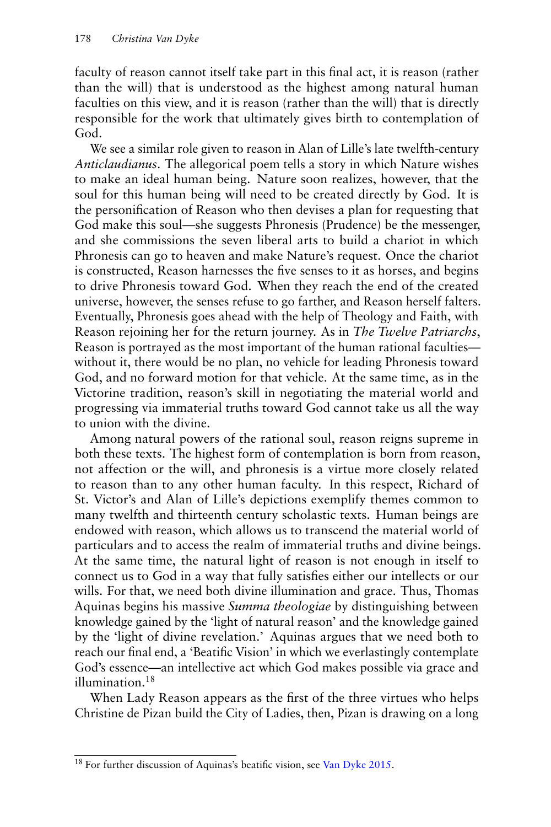faculty of reason cannot itself take part in this final act, it is reason (rather than the will) that is understood as the highest among natural human faculties on this view, and it is reason (rather than the will) that is directly responsible for the work that ultimately gives birth to contemplation of God.

We see a similar role given to reason in Alan of Lille's late twelfth-century *Anticlaudianus*. The allegorical poem tells a story in which Nature wishes to make an ideal human being. Nature soon realizes, however, that the soul for this human being will need to be created directly by God. It is the personification of Reason who then devises a plan for requesting that God make this soul—she suggests Phronesis (Prudence) be the messenger, and she commissions the seven liberal arts to build a chariot in which Phronesis can go to heaven and make Nature's request. Once the chariot is constructed, Reason harnesses the five senses to it as horses, and begins to drive Phronesis toward God. When they reach the end of the created universe, however, the senses refuse to go farther, and Reason herself falters. Eventually, Phronesis goes ahead with the help of Theology and Faith, with Reason rejoining her for the return journey. As in *The Twelve Patriarchs*, Reason is portrayed as the most important of the human rational faculties without it, there would be no plan, no vehicle for leading Phronesis toward God, and no forward motion for that vehicle. At the same time, as in the Victorine tradition, reason's skill in negotiating the material world and progressing via immaterial truths toward God cannot take us all the way to union with the divine.

Among natural powers of the rational soul, reason reigns supreme in both these texts. The highest form of contemplation is born from reason, not affection or the will, and phronesis is a virtue more closely related to reason than to any other human faculty. In this respect, Richard of St. Victor's and Alan of Lille's depictions exemplify themes common to many twelfth and thirteenth century scholastic texts. Human beings are endowed with reason, which allows us to transcend the material world of particulars and to access the realm of immaterial truths and divine beings. At the same time, the natural light of reason is not enough in itself to connect us to God in a way that fully satisfies either our intellects or our wills. For that, we need both divine illumination and grace. Thus, Thomas Aquinas begins his massive *Summa theologiae* by distinguishing between knowledge gained by the 'light of natural reason' and the knowledge gained by the 'light of divine revelation.' Aquinas argues that we need both to reach our final end, a 'Beatific Vision' in which we everlastingly contemplate God's essence—an intellective act which God makes possible via grace and illumination.<sup>18</sup>

When Lady Reason appears as the first of the three virtues who helps Christine de Pizan build the City of Ladies, then, Pizan is drawing on a long

<sup>&</sup>lt;sup>18</sup> For further discussion of Aquinas's beatific vision, see [Van Dyke](#page-16-0) [2015.](#page-16-0)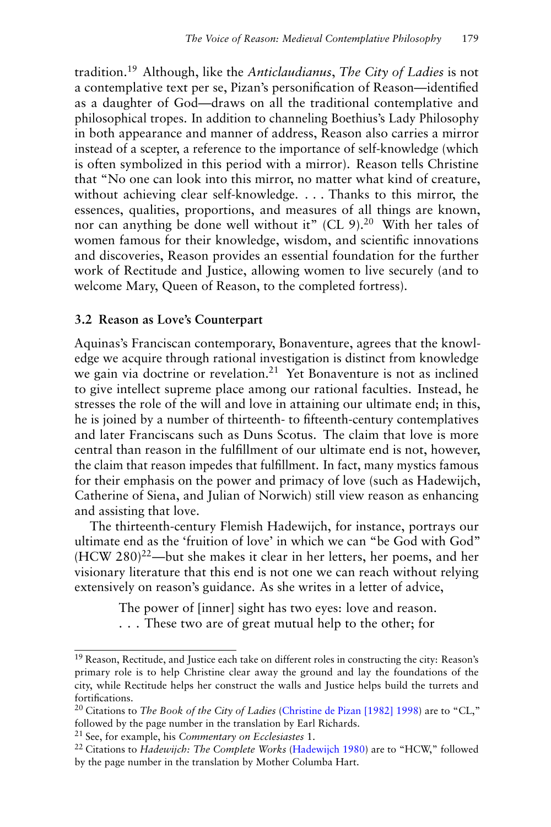tradition.<sup>19</sup> Although, like the *Anticlaudianus*, *The City of Ladies* is not a contemplative text per se, Pizan's personification of Reason—identified as a daughter of God—draws on all the traditional contemplative and philosophical tropes. In addition to channeling Boethius's Lady Philosophy in both appearance and manner of address, Reason also carries a mirror instead of a scepter, a reference to the importance of self-knowledge (which is often symbolized in this period with a mirror). Reason tells Christine that "No one can look into this mirror, no matter what kind of creature, without achieving clear self-knowledge. . . . Thanks to this mirror, the essences, qualities, proportions, and measures of all things are known, nor can anything be done well without it" (CL 9).<sup>20</sup> With her tales of women famous for their knowledge, wisdom, and scientific innovations and discoveries, Reason provides an essential foundation for the further work of Rectitude and Justice, allowing women to live securely (and to welcome Mary, Queen of Reason, to the completed fortress).

#### **3.2 Reason as Love's Counterpart**

Aquinas's Franciscan contemporary, Bonaventure, agrees that the knowledge we acquire through rational investigation is distinct from knowledge we gain via doctrine or revelation.<sup>21</sup> Yet Bonaventure is not as inclined to give intellect supreme place among our rational faculties. Instead, he stresses the role of the will and love in attaining our ultimate end; in this, he is joined by a number of thirteenth- to fifteenth-century contemplatives and later Franciscans such as Duns Scotus. The claim that love is more central than reason in the fulfillment of our ultimate end is not, however, the claim that reason impedes that fulfillment. In fact, many mystics famous for their emphasis on the power and primacy of love (such as Hadewijch, Catherine of Siena, and Julian of Norwich) still view reason as enhancing and assisting that love.

The thirteenth-century Flemish Hadewijch, for instance, portrays our ultimate end as the 'fruition of love' in which we can "be God with God" (HCW 280)<sup>22</sup>—but she makes it clear in her letters, her poems, and her visionary literature that this end is not one we can reach without relying extensively on reason's guidance. As she writes in a letter of advice,

The power of [inner] sight has two eyes: love and reason.

. . . These two are of great mutual help to the other; for

 $19$  Reason, Rectitude, and Justice each take on different roles in constructing the city: Reason's primary role is to help Christine clear away the ground and lay the foundations of the city, while Rectitude helps her construct the walls and Justice helps build the turrets and fortifications.

<sup>20</sup> Citations to *The Book of the City of Ladies* [\(Christine de Pizan](#page-15-0) [\[1982\] 1998\)](#page-15-0) are to "CL," followed by the page number in the translation by Earl Richards.

<sup>21</sup> See, for example, his *Commentary on Ecclesiastes* 1.

<sup>&</sup>lt;sup>22</sup> Citations to *Hadewijch: The Complete Works* [\(Hadewijch](#page-15-0) [1980\)](#page-15-0) are to "HCW," followed by the page number in the translation by Mother Columba Hart.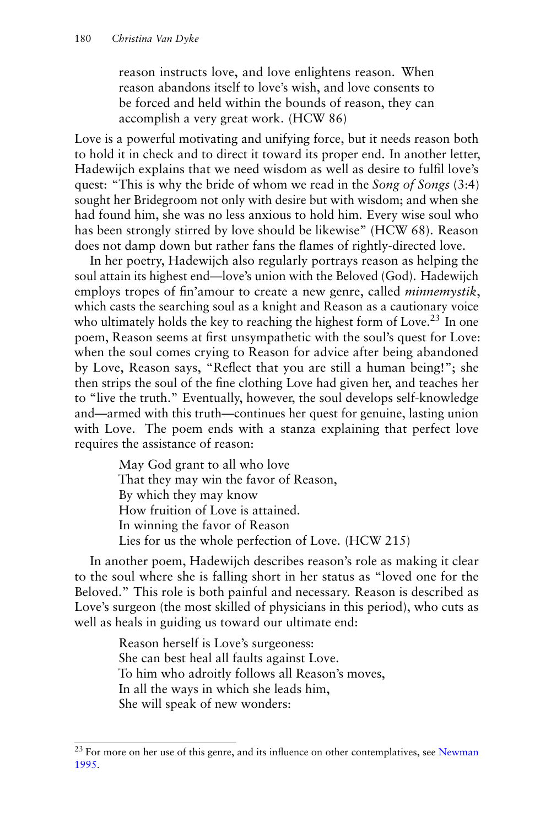reason instructs love, and love enlightens reason. When reason abandons itself to love's wish, and love consents to be forced and held within the bounds of reason, they can accomplish a very great work. (HCW 86)

Love is a powerful motivating and unifying force, but it needs reason both to hold it in check and to direct it toward its proper end. In another letter, Hadewijch explains that we need wisdom as well as desire to fulfil love's quest: "This is why the bride of whom we read in the *Song of Songs* (3:4) sought her Bridegroom not only with desire but with wisdom; and when she had found him, she was no less anxious to hold him. Every wise soul who has been strongly stirred by love should be likewise" (HCW 68). Reason does not damp down but rather fans the flames of rightly-directed love.

In her poetry, Hadewijch also regularly portrays reason as helping the soul attain its highest end—love's union with the Beloved (God). Hadewijch employs tropes of fin'amour to create a new genre, called *minnemystik*, which casts the searching soul as a knight and Reason as a cautionary voice who ultimately holds the key to reaching the highest form of Love.<sup>23</sup> In one poem, Reason seems at first unsympathetic with the soul's quest for Love: when the soul comes crying to Reason for advice after being abandoned by Love, Reason says, "Reflect that you are still a human being!"; she then strips the soul of the fine clothing Love had given her, and teaches her to "live the truth." Eventually, however, the soul develops self-knowledge and—armed with this truth—continues her quest for genuine, lasting union with Love. The poem ends with a stanza explaining that perfect love requires the assistance of reason:

> May God grant to all who love That they may win the favor of Reason, By which they may know How fruition of Love is attained. In winning the favor of Reason Lies for us the whole perfection of Love. (HCW 215)

In another poem, Hadewijch describes reason's role as making it clear to the soul where she is falling short in her status as "loved one for the Beloved." This role is both painful and necessary. Reason is described as Love's surgeon (the most skilled of physicians in this period), who cuts as well as heals in guiding us toward our ultimate end:

> Reason herself is Love's surgeoness: She can best heal all faults against Love. To him who adroitly follows all Reason's moves, In all the ways in which she leads him, She will speak of new wonders:

<sup>&</sup>lt;sup>23</sup> For more on her use of this genre, and its influence on other contemplatives, see [Newman](#page-15-0) [1995.](#page-15-0)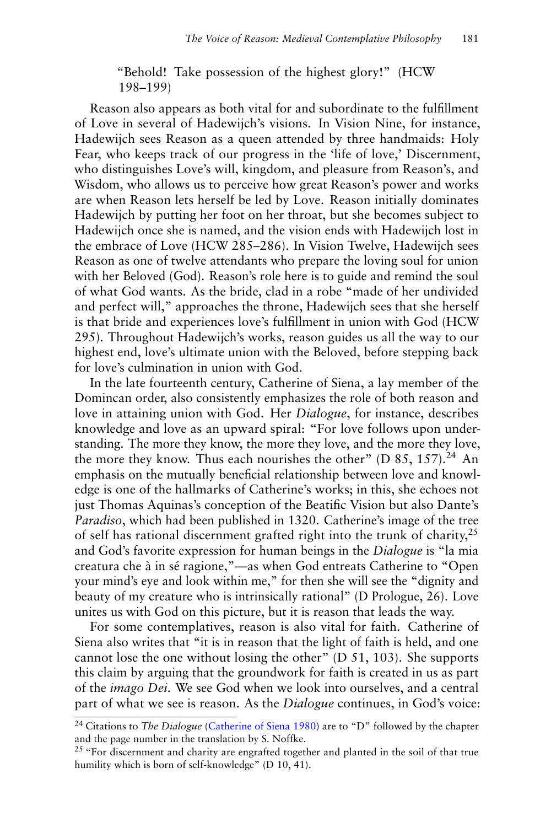"Behold! Take possession of the highest glory!" (HCW 198–199)

Reason also appears as both vital for and subordinate to the fulfillment of Love in several of Hadewijch's visions. In Vision Nine, for instance, Hadewijch sees Reason as a queen attended by three handmaids: Holy Fear, who keeps track of our progress in the 'life of love,' Discernment, who distinguishes Love's will, kingdom, and pleasure from Reason's, and Wisdom, who allows us to perceive how great Reason's power and works are when Reason lets herself be led by Love. Reason initially dominates Hadewijch by putting her foot on her throat, but she becomes subject to Hadewijch once she is named, and the vision ends with Hadewijch lost in the embrace of Love (HCW 285–286). In Vision Twelve, Hadewijch sees Reason as one of twelve attendants who prepare the loving soul for union with her Beloved (God). Reason's role here is to guide and remind the soul of what God wants. As the bride, clad in a robe "made of her undivided and perfect will," approaches the throne, Hadewijch sees that she herself is that bride and experiences love's fulfillment in union with God (HCW 295). Throughout Hadewijch's works, reason guides us all the way to our highest end, love's ultimate union with the Beloved, before stepping back for love's culmination in union with God.

In the late fourteenth century, Catherine of Siena, a lay member of the Domincan order, also consistently emphasizes the role of both reason and love in attaining union with God. Her *Dialogue*, for instance, describes knowledge and love as an upward spiral: "For love follows upon understanding. The more they know, the more they love, and the more they love, the more they know. Thus each nourishes the other" (D  $85$ ,  $157$ ).<sup>24</sup> An emphasis on the mutually beneficial relationship between love and knowledge is one of the hallmarks of Catherine's works; in this, she echoes not just Thomas Aquinas's conception of the Beatific Vision but also Dante's *Paradiso*, which had been published in 1320. Catherine's image of the tree of self has rational discernment grafted right into the trunk of charity,<sup>25</sup> and God's favorite expression for human beings in the *Dialogue* is "la mia creatura che à in sé ragione,"—as when God entreats Catherine to "Open your mind's eye and look within me," for then she will see the "dignity and beauty of my creature who is intrinsically rational" (D Prologue, 26). Love unites us with God on this picture, but it is reason that leads the way.

For some contemplatives, reason is also vital for faith. Catherine of Siena also writes that "it is in reason that the light of faith is held, and one cannot lose the one without losing the other" (D 51, 103). She supports this claim by arguing that the groundwork for faith is created in us as part of the *imago Dei*. We see God when we look into ourselves, and a central part of what we see is reason. As the *Dialogue* continues, in God's voice:

<sup>24</sup> Citations to *The Dialogue* [\(Catherine of Siena](#page-15-0) [1980\)](#page-15-0) are to "D" followed by the chapter and the page number in the translation by S. Noffke.

<sup>&</sup>lt;sup>25</sup> "For discernment and charity are engrafted together and planted in the soil of that true humility which is born of self-knowledge" (D 10, 41).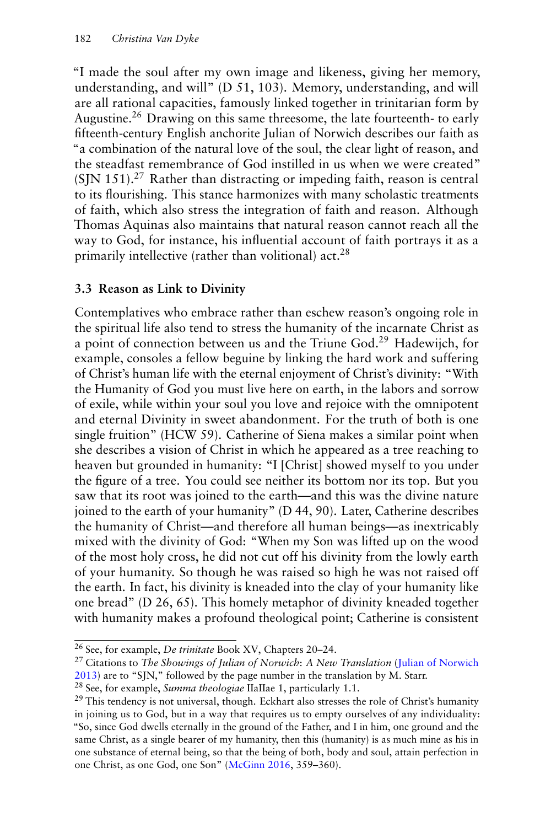"I made the soul after my own image and likeness, giving her memory, understanding, and will" (D 51, 103). Memory, understanding, and will are all rational capacities, famously linked together in trinitarian form by Augustine.<sup>26</sup> Drawing on this same threesome, the late fourteenth- to early fifteenth-century English anchorite Julian of Norwich describes our faith as "a combination of the natural love of the soul, the clear light of reason, and the steadfast remembrance of God instilled in us when we were created"  $(SIN 151).<sup>27</sup>$  Rather than distracting or impeding faith, reason is central to its flourishing. This stance harmonizes with many scholastic treatments of faith, which also stress the integration of faith and reason. Although Thomas Aquinas also maintains that natural reason cannot reach all the way to God, for instance, his influential account of faith portrays it as a primarily intellective (rather than volitional) act.<sup>28</sup>

#### **3.3 Reason as Link to Divinity**

Contemplatives who embrace rather than eschew reason's ongoing role in the spiritual life also tend to stress the humanity of the incarnate Christ as a point of connection between us and the Triune God.<sup>29</sup> Hadewijch, for example, consoles a fellow beguine by linking the hard work and suffering of Christ's human life with the eternal enjoyment of Christ's divinity: "With the Humanity of God you must live here on earth, in the labors and sorrow of exile, while within your soul you love and rejoice with the omnipotent and eternal Divinity in sweet abandonment. For the truth of both is one single fruition" (HCW 59). Catherine of Siena makes a similar point when she describes a vision of Christ in which he appeared as a tree reaching to heaven but grounded in humanity: "I [Christ] showed myself to you under the figure of a tree. You could see neither its bottom nor its top. But you saw that its root was joined to the earth—and this was the divine nature joined to the earth of your humanity" (D 44, 90). Later, Catherine describes the humanity of Christ—and therefore all human beings—as inextricably mixed with the divinity of God: "When my Son was lifted up on the wood of the most holy cross, he did not cut off his divinity from the lowly earth of your humanity. So though he was raised so high he was not raised off the earth. In fact, his divinity is kneaded into the clay of your humanity like one bread" (D 26, 65). This homely metaphor of divinity kneaded together with humanity makes a profound theological point; Catherine is consistent

<sup>26</sup> See, for example, *De trinitate* Book XV, Chapters 20–24.

<sup>27</sup> Citations to *The Showings of Julian of Norwich*: *A New Translation* [\(Julian of Norwich](#page-15-0) [2013\)](#page-15-0) are to "SJN," followed by the page number in the translation by M. Starr.

<sup>28</sup> See, for example, *Summa theologiae* IIaIIae 1, particularly 1.1.

<sup>&</sup>lt;sup>29</sup> This tendency is not universal, though. Eckhart also stresses the role of Christ's humanity in joining us to God, but in a way that requires us to empty ourselves of any individuality: "So, since God dwells eternally in the ground of the Father, and I in him, one ground and the same Christ, as a single bearer of my humanity, then this (humanity) is as much mine as his in one substance of eternal being, so that the being of both, body and soul, attain perfection in one Christ, as one God, one Son" [\(McGinn](#page-15-0) [2016,](#page-15-0) 359–360).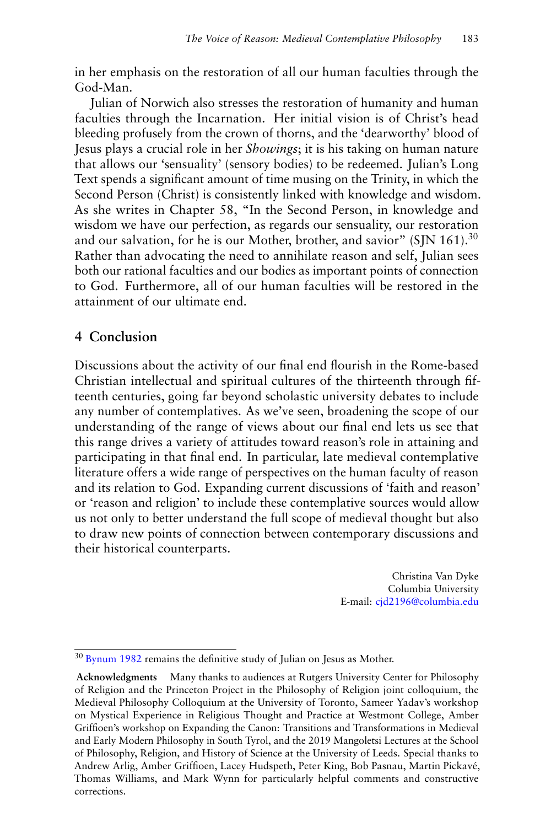in her emphasis on the restoration of all our human faculties through the God-Man.

Julian of Norwich also stresses the restoration of humanity and human faculties through the Incarnation. Her initial vision is of Christ's head bleeding profusely from the crown of thorns, and the 'dearworthy' blood of Jesus plays a crucial role in her *Showings*; it is his taking on human nature that allows our 'sensuality' (sensory bodies) to be redeemed. Julian's Long Text spends a significant amount of time musing on the Trinity, in which the Second Person (Christ) is consistently linked with knowledge and wisdom. As she writes in Chapter 58, "In the Second Person, in knowledge and wisdom we have our perfection, as regards our sensuality, our restoration and our salvation, for he is our Mother, brother, and savior" (SJN 161).<sup>30</sup> Rather than advocating the need to annihilate reason and self, Julian sees both our rational faculties and our bodies as important points of connection to God. Furthermore, all of our human faculties will be restored in the attainment of our ultimate end.

# **4 Conclusion**

Discussions about the activity of our final end flourish in the Rome-based Christian intellectual and spiritual cultures of the thirteenth through fifteenth centuries, going far beyond scholastic university debates to include any number of contemplatives. As we've seen, broadening the scope of our understanding of the range of views about our final end lets us see that this range drives a variety of attitudes toward reason's role in attaining and participating in that final end. In particular, late medieval contemplative literature offers a wide range of perspectives on the human faculty of reason and its relation to God. Expanding current discussions of 'faith and reason' or 'reason and religion' to include these contemplative sources would allow us not only to better understand the full scope of medieval thought but also to draw new points of connection between contemporary discussions and their historical counterparts.

> Christina Van Dyke Columbia University E-mail: [cjd2196@columbia.edu](mailto:cjd2196@columbia.edu)

<sup>&</sup>lt;sup>30</sup> [Bynum](#page-15-0) [1982](#page-15-0) remains the definitive study of Julian on Jesus as Mother.

**Acknowledgments** Many thanks to audiences at Rutgers University Center for Philosophy of Religion and the Princeton Project in the Philosophy of Religion joint colloquium, the Medieval Philosophy Colloquium at the University of Toronto, Sameer Yadav's workshop on Mystical Experience in Religious Thought and Practice at Westmont College, Amber Griffioen's workshop on Expanding the Canon: Transitions and Transformations in Medieval and Early Modern Philosophy in South Tyrol, and the 2019 Mangoletsi Lectures at the School of Philosophy, Religion, and History of Science at the University of Leeds. Special thanks to Andrew Arlig, Amber Griffioen, Lacey Hudspeth, Peter King, Bob Pasnau, Martin Pickavé, Thomas Williams, and Mark Wynn for particularly helpful comments and constructive corrections.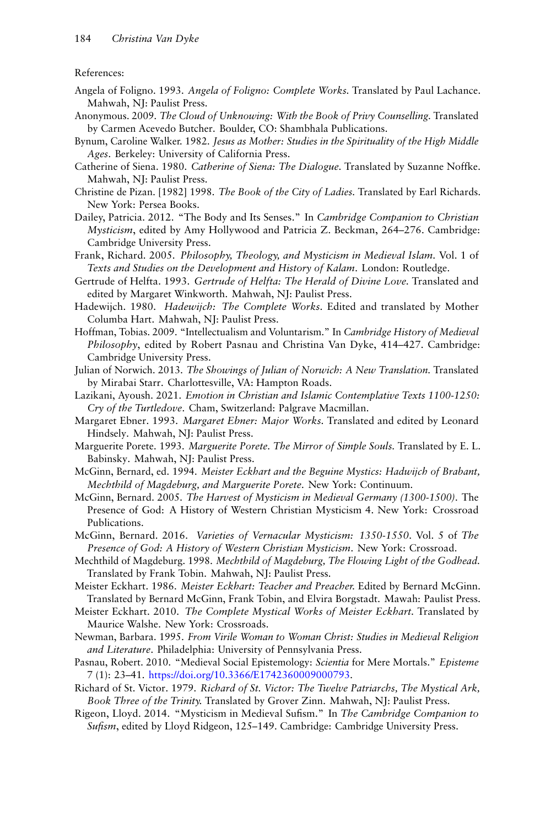#### <span id="page-15-0"></span>References:

- Angela of Foligno. 1993. *Angela of Foligno: Complete Works.* Translated by Paul Lachance. Mahwah, NJ: Paulist Press.
- Anonymous. 2009. *The Cloud of Unknowing: With the Book of Privy Counselling.* Translated by Carmen Acevedo Butcher. Boulder, CO: Shambhala Publications.
- Bynum, Caroline Walker. 1982. *Jesus as Mother: Studies in the Spirituality of the High Middle Ages*. Berkeley: University of California Press.
- Catherine of Siena. 1980. *Catherine of Siena: The Dialogue.* Translated by Suzanne Noffke. Mahwah, NJ: Paulist Press.
- Christine de Pizan. [1982] 1998. *The Book of the City of Ladies.* Translated by Earl Richards. New York: Persea Books.
- Dailey, Patricia. 2012. "The Body and Its Senses." In *Cambridge Companion to Christian Mysticism*, edited by Amy Hollywood and Patricia Z. Beckman, 264–276. Cambridge: Cambridge University Press.
- Frank, Richard. 2005. *Philosophy, Theology, and Mysticism in Medieval Islam.* Vol. 1 of *Texts and Studies on the Development and History of Kalam*. London: Routledge.
- Gertrude of Helfta. 1993. *Gertrude of Helfta: The Herald of Divine Love.* Translated and edited by Margaret Winkworth. Mahwah, NJ: Paulist Press.
- Hadewijch. 1980. *Hadewijch: The Complete Works.* Edited and translated by Mother Columba Hart. Mahwah, NJ: Paulist Press.
- Hoffman, Tobias. 2009. "Intellectualism and Voluntarism." In *Cambridge History of Medieval Philosophy*, edited by Robert Pasnau and Christina Van Dyke, 414–427. Cambridge: Cambridge University Press.
- Julian of Norwich. 2013. *The Showings of Julian of Norwich: A New Translation.* Translated by Mirabai Starr. Charlottesville, VA: Hampton Roads.
- Lazikani, Ayoush. 2021. *Emotion in Christian and Islamic Contemplative Texts 1100-1250: Cry of the Turtledove*. Cham, Switzerland: Palgrave Macmillan.
- Margaret Ebner. 1993. *Margaret Ebner: Major Works.* Translated and edited by Leonard Hindsely. Mahwah, NJ: Paulist Press.
- Marguerite Porete. 1993. *Marguerite Porete. The Mirror of Simple Souls.* Translated by E. L. Babinsky. Mahwah, NJ: Paulist Press.
- McGinn, Bernard, ed. 1994. *Meister Eckhart and the Beguine Mystics: Hadwijch of Brabant, Mechthild of Magdeburg, and Marguerite Porete*. New York: Continuum.
- McGinn, Bernard. 2005. *The Harvest of Mysticism in Medieval Germany (1300-1500)*. The Presence of God: A History of Western Christian Mysticism 4. New York: Crossroad Publications.
- McGinn, Bernard. 2016. *Varieties of Vernacular Mysticism: 1350-1550*. Vol. 5 of *The Presence of God: A History of Western Christian Mysticism*. New York: Crossroad.
- Mechthild of Magdeburg. 1998. *Mechthild of Magdeburg, The Flowing Light of the Godhead.* Translated by Frank Tobin. Mahwah, NJ: Paulist Press.
- Meister Eckhart. 1986. *Meister Eckhart: Teacher and Preacher.* Edited by Bernard McGinn. Translated by Bernard McGinn, Frank Tobin, and Elvira Borgstadt. Mawah: Paulist Press.
- Meister Eckhart. 2010. *The Complete Mystical Works of Meister Eckhart.* Translated by Maurice Walshe. New York: Crossroads.
- Newman, Barbara. 1995. *From Virile Woman to Woman Christ: Studies in Medieval Religion and Literature*. Philadelphia: University of Pennsylvania Press.
- Pasnau, Robert. 2010. "Medieval Social Epistemology: *Scientia* for Mere Mortals." *Episteme* 7 (1): 23–41. [https://doi.org/10.3366/E1742360009000793.](https://doi.org/10.3366/E1742360009000793)
- Richard of St. Victor. 1979. *Richard of St. Victor: The Twelve Patriarchs, The Mystical Ark, Book Three of the Trinity.* Translated by Grover Zinn. Mahwah, NJ: Paulist Press.
- Rigeon, Lloyd. 2014. "Mysticism in Medieval Sufism." In *The Cambridge Companion to Sufism*, edited by Lloyd Ridgeon, 125–149. Cambridge: Cambridge University Press.